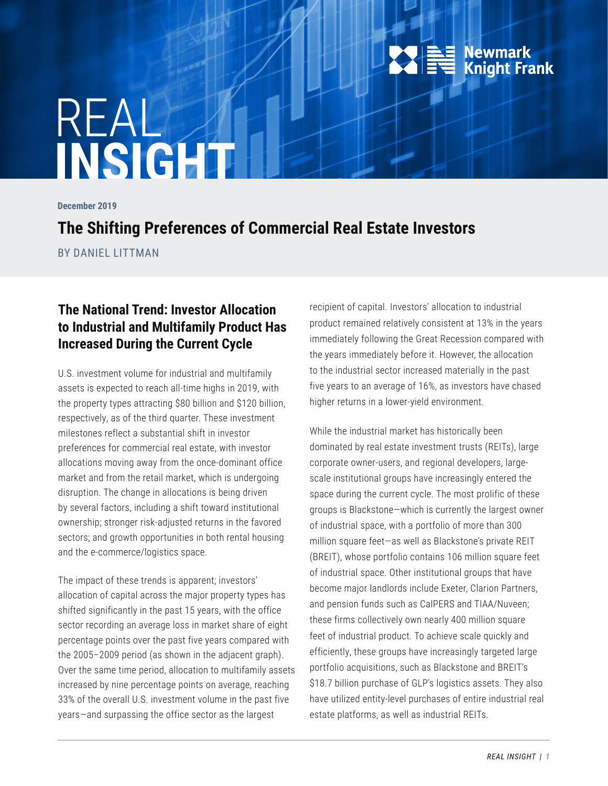

# REAL **INSIGHT**

**December 2019** 

# **The Shifting Preferences of Commercial Real Estate Investors**

BY DANIEL LITTMAN, NATHANIEL SWEENS WERE ALLOWED AND CAMILLE NORTH AND CAMILLE NORTH AND CAMILLE NORTH AND CAMI

# **The National Trend: Investor Allocation to Industrial and Multifamily Product Has Increased During the Current Cycle**

U.S. investment volume for industrial and multifamily assets is expected to reach all-time highs in 2019, with the property types attracting \$80 billion and \$120 billion, respectively, as of the third quarter. These investment milestones reflect a substantial shift in investor preferences for commercial real estate, with investor allocations moving away from the once-dominant office market and from the retail market, which is undergoing disruption. The change in allocations is being driven by several factors, including a shift toward institutional ownership; stronger risk-adjusted returns in the favored and the e-commerce/logistics space. sectors; and growth opportunities in both rental housing

The impact of these trends is apparent; investors' allocation of capital across the major property types has shifted significantly in the past 15 years, with the office sector recording an average loss in market share of eight percentage points over the past five years compared with the 2005-2009 period (as shown in the adjacent graph). Over the same time period, allocation to multifamily assets increased by nine percentage points on average, reaching 33% of the overall U.S. investment volume in the past five years—and surpassing the office sector as the largest

recipient of capital. Investors' allocation to industrial product remained relatively consistent at 13% in the years immediately following the Great Recession compared with to the industrial sector increased materially in the past five years to an average of 16%, as investors have chased higher returns in a lower-yield environment. the years immediately before it. However, the allocation

While the industrial market has historically been dominated by real estate investment trusts (REITs), large corporate owner-users, and regional developers, largescale institutional groups have increasingly entered the space during the current cycle. The most prolific of these .<br>groups is Blackstone—which is currently the largest owner of industrial space, with a portfolio of more than 300<br>of industrial space, with a portfolio of more than 300 and access to a part of and access that a process that are considered in the conservation of the matter of the<br>million square feet—as well as Blackstone's private REIT the appears foot. The woman biddhotoned private her appears to the appears service service as a service service (BREIT), whose portfolio contains 106 million square feet ar muustrial space. Other mstitutional groups that havebecome major landlords include Exeter, Clarion Partners, and pension funds such as CalPERS and TIAA/Nuveen; these firms collectively own nearly 400 million square feet of industrial product. To achieve scale quickly and efficiently, these groups have increasingly targeted large portfolio acquisitions, such as Blackstone and BREIT's **Featured Market: Cleveland** of industrial space. Other institutional groups that have \$18.7 billion purchase of GLP's logistics assets. They also have utilized entity-level purchases of entire industrial real<br>estate platforms, as well as industrial REITs. estate platforms, as well as industrial REITs.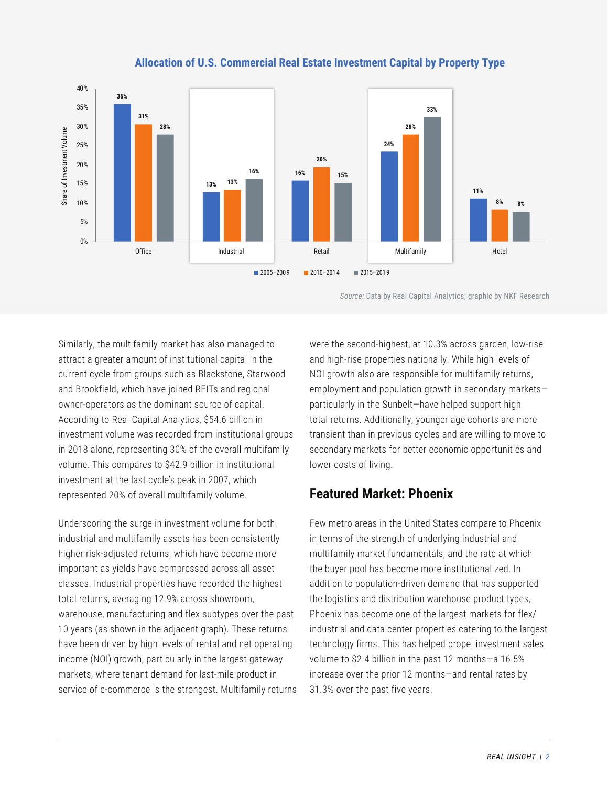

#### **Allocation of U.S. Commercial Real Estate Investment Capital by Property Type**

*Source:* Data by Real Capital Analytics; graphic by NKF Research

Similarly, the multifamily market has also managed to attract a greater amount of institutional capital in the current cycle from groups such as Blackstone, Starwood and Brookfield, which have joined REITs and regional owner-operators as the dominant source of capital. According to Real Capital Analytics, \$54.6 billion in investment volume was recorded from institutional groups in 2018 alone, representing 30% of the overall multifamily volume. This compares to \$42.9 billion in institutional investment at the last cycle's peak in 2007, which represented 20% of overall multifamily volume.

Underscoring the surge in investment volume for both industrial and multifamily assets has been consistently higher risk-adjusted returns, which have become more important as yields have compressed across all asset classes. Industrial properties have recorded the highest total returns, averaging 12.9% across showroom, warehouse, manufacturing and flex subtypes over the past 10 years (as shown in the adjacent graph). These returns have been driven by high levels of rental and net operating income (NOI) growth, particularly in the largest gateway markets, where tenant demand for last-mile product in service of e-commerce is the strongest. Multifamily returns were the second-highest, at 10.3% across garden, low-rise and high-rise properties nationally. While high levels of NOI growth also are responsible for multifamily returns, employment and population growth in secondary markets particularly in the Sunbelt—have helped support high total returns. Additionally, younger age cohorts are more transient than in previous cycles and are willing to move to secondary markets for better economic opportunities and lower costs of living.

## **Featured Market: Phoenix**

Few metro areas in the United States compare to Phoenix in terms of the strength of underlying industrial and multifamily market fundamentals, and the rate at which the buyer pool has become more institutionalized. In addition to population-driven demand that has supported the logistics and distribution warehouse product types, Phoenix has become one of the largest markets for flex/ industrial and data center properties catering to the largest technology firms. This has helped propel investment sales volume to \$2.4 billion in the past 12 months—a 16.5% increase over the prior 12 months—and rental rates by 31.3% over the past five years.